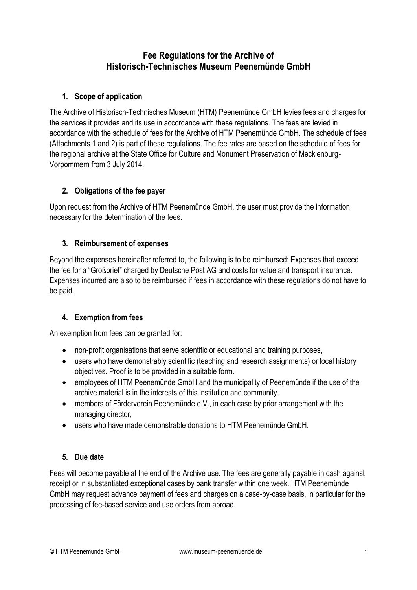# **Fee Regulations for the Archive of Historisch-Technisches Museum Peenemünde GmbH**

# **1. Scope of application**

The Archive of Historisch-Technisches Museum (HTM) Peenemünde GmbH levies fees and charges for the services it provides and its use in accordance with these regulations. The fees are levied in accordance with the schedule of fees for the Archive of HTM Peenemünde GmbH. The schedule of fees (Attachments 1 and 2) is part of these regulations. The fee rates are based on the schedule of fees for the regional archive at the State Office for Culture and Monument Preservation of Mecklenburg-Vorpommern from 3 July 2014.

## **2. Obligations of the fee payer**

Upon request from the Archive of HTM Peenemünde GmbH, the user must provide the information necessary for the determination of the fees.

#### **3. Reimbursement of expenses**

Beyond the expenses hereinafter referred to, the following is to be reimbursed: Expenses that exceed the fee for a "Großbrief" charged by Deutsche Post AG and costs for value and transport insurance. Expenses incurred are also to be reimbursed if fees in accordance with these regulations do not have to be paid.

#### **4. Exemption from fees**

An exemption from fees can be granted for:

- non-profit organisations that serve scientific or educational and training purposes,
- users who have demonstrably scientific (teaching and research assignments) or local history objectives. Proof is to be provided in a suitable form.
- employees of HTM Peenemünde GmbH and the municipality of Peenemünde if the use of the archive material is in the interests of this institution and community,
- members of Förderverein Peenemünde e.V., in each case by prior arrangement with the managing director,
- users who have made demonstrable donations to HTM Peenemünde GmbH.

#### **5. Due date**

Fees will become payable at the end of the Archive use. The fees are generally payable in cash against receipt or in substantiated exceptional cases by bank transfer within one week. HTM Peenemünde GmbH may request advance payment of fees and charges on a case-by-case basis, in particular for the processing of fee-based service and use orders from abroad.